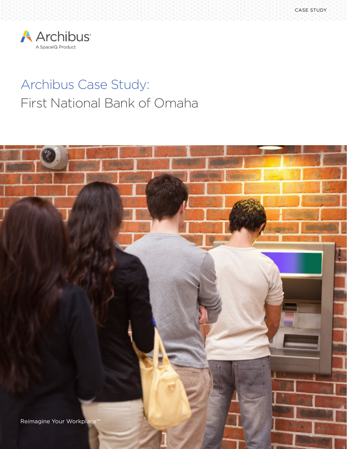

# Archibus Case Study: First National Bank of Omaha

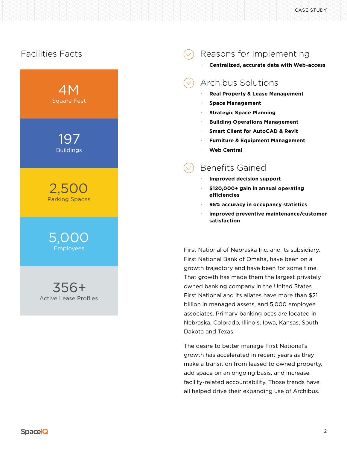## Facilities Facts



Active Lease Profiles

# Reasons for Implementing

#### **· Centralized, accurate data with Web-access**

# Archibus Solutions

- **· Real Property & Lease Management**
- **· Space Management**
- **· Strategic Space Planning**
- **· Building Operations Management**
- **· Smart Client for AutoCAD & Revit**
- **· Furniture & Equipment Management**
- **· Web Central**

## Benefits Gained

- **· Improved decision support**
- **· \$120,000+ gain in annual operating efficiencies**
- **· 95% accuracy in occupancy statistics**
- **· improved preventive maintenance/customer satisfaction**

First National of Nebraska Inc. and its subsidiary, First National Bank of Omaha, have been on a growth trajectory and have been for some time. That growth has made them the largest privately owned banking company in the United States. First National and its aliates have more than \$21 billion in managed assets, and 5,000 employee associates. Primary banking oces are located in Nebraska, Colorado, Illinois, Iowa, Kansas, South Dakota and Texas.

The desire to better manage First National's growth has accelerated in recent years as they make a transition from leased to owned property, add space on an ongoing basis, and increase facility-related accountability. Those trends have all helped drive their expanding use of Archibus.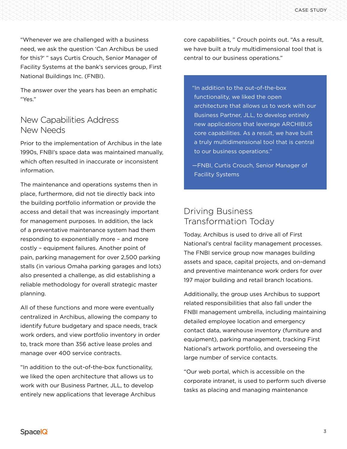"Whenever we are challenged with a business need, we ask the question 'Can Archibus be used for this?' " says Curtis Crouch, Senior Manager of Facility Systems at the bank's services group, First National Buildings Inc. (FNBI).

The answer over the years has been an emphatic "Yes."

#### New Capabilities Address New Needs

Prior to the implementation of Archibus in the late 1990s, FNBI's space data was maintained manually, which often resulted in inaccurate or inconsistent information.

The maintenance and operations systems then in place, furthermore, did not tie directly back into the building portfolio information or provide the access and detail that was increasingly important for management purposes. In addition, the lack of a preventative maintenance system had them responding to exponentially more – and more costly – equipment failures. Another point of pain, parking management for over 2,500 parking stalls (in various Omaha parking garages and lots) also presented a challenge, as did establishing a reliable methodology for overall strategic master planning.

All of these functions and more were eventually centralized in Archibus, allowing the company to identify future budgetary and space needs, track work orders, and view portfolio inventory in order to, track more than 356 active lease proles and manage over 400 service contracts.

"In addition to the out-of-the-box functionality, we liked the open architecture that allows us to work with our Business Partner, JLL, to develop entirely new applications that leverage Archibus core capabilities, " Crouch points out. "As a result, we have built a truly multidimensional tool that is central to our business operations."

"In addition to the out-of-the-box functionality, we liked the open architecture that allows us to work with our Business Partner, JLL, to develop entirely new applications that leverage ARCHIBUS core capabilities. As a result, we have built a truly multidimensional tool that is central to our business operations."

—FNBI, Curtis Crouch, Senior Manager of Facility Systems

#### Driving Business Transformation Today

Today, Archibus is used to drive all of First National's central facility management processes. The FNBI service group now manages building assets and space, capital projects, and on-demand and preventive maintenance work orders for over 197 major building and retail branch locations.

Additionally, the group uses Archibus to support related responsibilities that also fall under the FNBI management umbrella, including maintaining detailed employee location and emergency contact data, warehouse inventory (furniture and equipment), parking management, tracking First National's artwork portfolio, and overseeing the large number of service contacts.

"Our web portal, which is accessible on the corporate intranet, is used to perform such diverse tasks as placing and managing maintenance